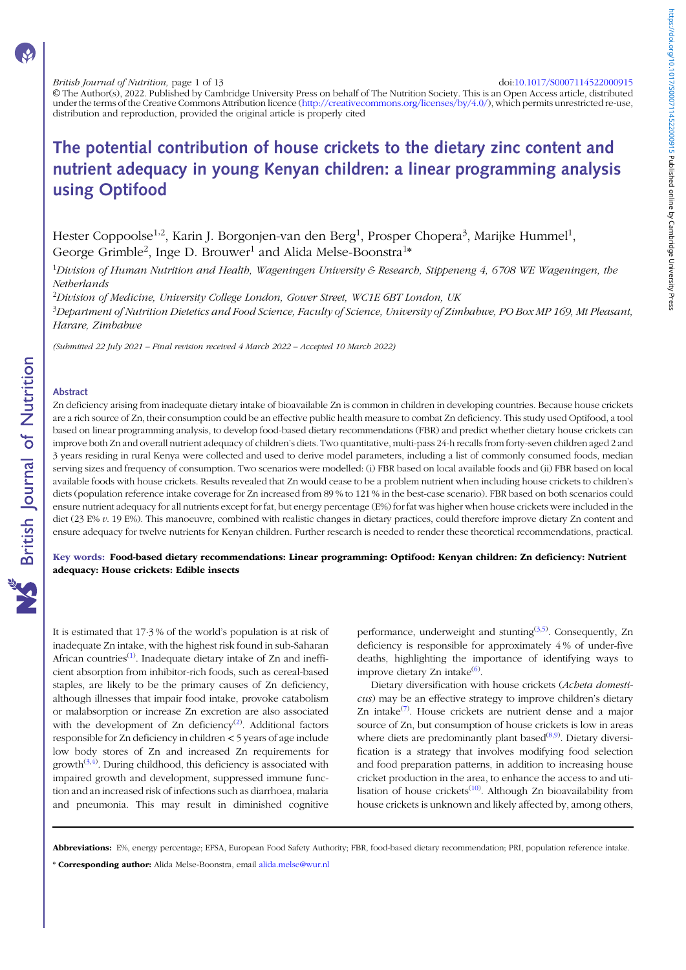© The Author(s), 2022. Published by Cambridge University Press on behalf of The Nutrition Society. This is an Open Access article, distributed under the terms of the Creative Commons Attribution licence [\(http://creativecommons.org/licenses/by/4.0/](http://creativecommons.org/licenses/by/4.0/)), which permits unrestricted re-use, distribution and reproduction, provided the original article is properly cited

# The potential contribution of house crickets to the dietary zinc content and nutrient adequacy in young Kenyan children: a linear programming analysis using Optifood

Hester Coppoolse<sup>1,2</sup>, Karin J. Borgonjen-van den Berg<sup>1</sup>, Prosper Chopera<sup>3</sup>, Marijke Hummel<sup>1</sup>, George Grimble<sup>2</sup>, Inge D. Brouwer<sup>1</sup> and Alida Melse-Boonstra<sup>1\*</sup>

 $^1$ Division of Human Nutrition and Health, Wageningen University & Research, Stippeneng 4, 6708 WE Wageningen, the **Netherlands** 

<sup>2</sup>Division of Medicine, University College London, Gower Street, WC1E 6BT London, UK

 $^3$ Department of Nutrition Dietetics and Food Science, Faculty of Science, University of Zimbabwe, PO Box MP 169, Mt Pleasant, Harare, Zimbabwe

(Submitted 22 July 2021 – Final revision received 4 March 2022 – Accepted 10 March 2022)

### Abstract

Zn deficiency arising from inadequate dietary intake of bioavailable Zn is common in children in developing countries. Because house crickets are a rich source of Zn, their consumption could be an effective public health measure to combat Zn deficiency. This study used Optifood, a tool based on linear programming analysis, to develop food-based dietary recommendations (FBR) and predict whether dietary house crickets can improve both Zn and overall nutrient adequacy of children's diets. Two quantitative, multi-pass 24-h recalls from forty-seven children aged 2 and 3 years residing in rural Kenya were collected and used to derive model parameters, including a list of commonly consumed foods, median serving sizes and frequency of consumption. Two scenarios were modelled: (i) FBR based on local available foods and (ii) FBR based on local available foods with house crickets. Results revealed that Zn would cease to be a problem nutrient when including house crickets to children's diets (population reference intake coverage for Zn increased from 89 % to 121 % in the best-case scenario). FBR based on both scenarios could ensure nutrient adequacy for all nutrients except for fat, but energy percentage (E%) for fat was higher when house crickets were included in the diet (23 E%  $v$ . 19 E%). This manoeuvre, combined with realistic changes in dietary practices, could therefore improve dietary Zn content and ensure adequacy for twelve nutrients for Kenyan children. Further research is needed to render these theoretical recommendations, practical.

### Key words: Food-based dietary recommendations: Linear programming: Optifood: Kenyan children: Zn deficiency: Nutrient adequacy: House crickets: Edible insects

It is estimated that 17·3 % of the world's population is at risk of inadequate Zn intake, with the highest risk found in sub-Saharan African countries<sup>[\(1\)](#page-11-0)</sup>. Inadequate dietary intake of Zn and inefficient absorption from inhibitor-rich foods, such as cereal-based staples, are likely to be the primary causes of Zn deficiency, although illnesses that impair food intake, provoke catabolism or malabsorption or increase Zn excretion are also associated with the development of  $Zn$  deficiency<sup>([2](#page-11-0))</sup>. Additional factors responsible for Zn deficiency in children < 5 years of age include low body stores of Zn and increased Zn requirements for growth<sup>([3](#page-11-0),[4\)](#page-11-0)</sup>. During childhood, this deficiency is associated with impaired growth and development, suppressed immune function and an increased risk of infections such as diarrhoea, malaria and pneumonia. This may result in diminished cognitive

performance, underweight and stunting<sup>([3,5\)](#page-11-0)</sup>. Consequently, Zn deficiency is responsible for approximately 4 % of under-five deaths, highlighting the importance of identifying ways to improve dietary Zn intake<sup>([6\)](#page-11-0)</sup>.

Dietary diversification with house crickets (Acheta domesticus) may be an effective strategy to improve children's dietary Zn intake $(7)$  $(7)$ . House crickets are nutrient dense and a major source of Zn, but consumption of house crickets is low in areas where diets are predominantly plant based<sup>[\(8,9](#page-11-0))</sup>. Dietary diversification is a strategy that involves modifying food selection and food preparation patterns, in addition to increasing house cricket production in the area, to enhance the access to and uti-lisation of house crickets<sup>[\(10](#page-11-0))</sup>. Although Zn bioavailability from house crickets is unknown and likely affected by, among others,

Abbreviations: E%, energy percentage; EFSA, European Food Safety Authority; FBR, food-based dietary recommendation; PRI, population reference intake.

<sup>\*</sup> Corresponding author: Alida Melse-Boonstra, email [alida.melse@wur.nl](mailto:alida.melse@wur.nl)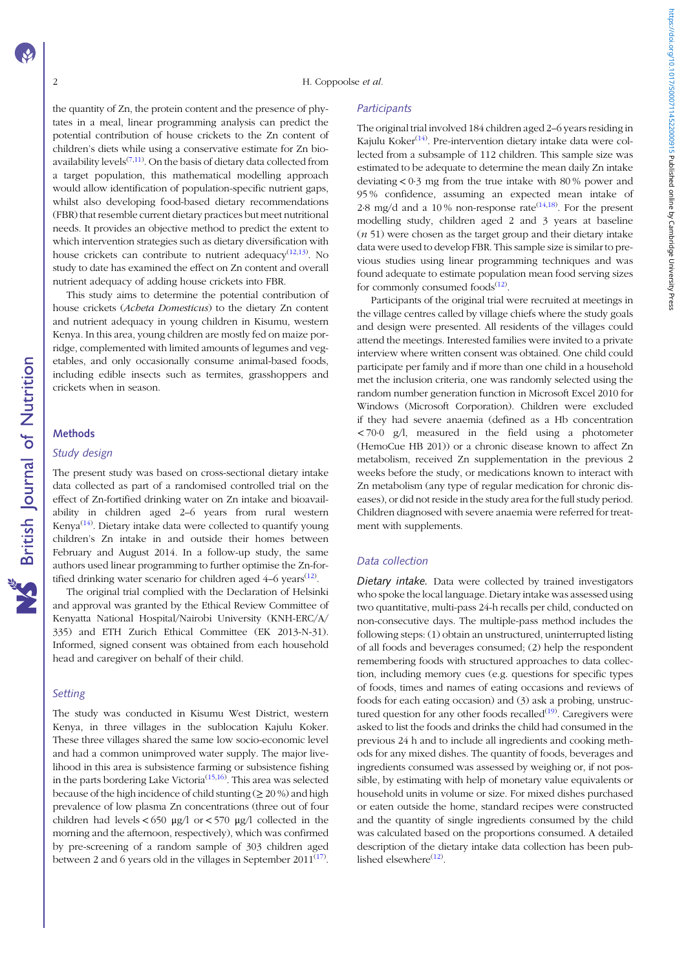the quantity of Zn, the protein content and the presence of phytates in a meal, linear programming analysis can predict the potential contribution of house crickets to the Zn content of children's diets while using a conservative estimate for Zn bioavailability levels $(7,11)$  $(7,11)$ . On the basis of dietary data collected from a target population, this mathematical modelling approach would allow identification of population-specific nutrient gaps, whilst also developing food-based dietary recommendations (FBR) that resemble current dietary practices but meet nutritional needs. It provides an objective method to predict the extent to which intervention strategies such as dietary diversification with house crickets can contribute to nutrient adequacy $(12,13)$  $(12,13)$  $(12,13)$  $(12,13)$ . No study to date has examined the effect on Zn content and overall nutrient adequacy of adding house crickets into FBR.

This study aims to determine the potential contribution of house crickets (Acheta Domesticus) to the dietary Zn content and nutrient adequacy in young children in Kisumu, western Kenya. In this area, young children are mostly fed on maize porridge, complemented with limited amounts of legumes and vegetables, and only occasionally consume animal-based foods, including edible insects such as termites, grasshoppers and crickets when in season.

### Methods

### Study design

The present study was based on cross-sectional dietary intake data collected as part of a randomised controlled trial on the effect of Zn-fortified drinking water on Zn intake and bioavailability in children aged 2–6 years from rural western Kenya<sup>[\(14](#page-11-0))</sup>. Dietary intake data were collected to quantify young children's Zn intake in and outside their homes between February and August 2014. In a follow-up study, the same authors used linear programming to further optimise the Zn-for-tified drinking water scenario for children aged 4–6 years<sup>[\(12\)](#page-11-0)</sup>.

The original trial complied with the Declaration of Helsinki and approval was granted by the Ethical Review Committee of Kenyatta National Hospital/Nairobi University (KNH-ERC/A/ 335) and ETH Zurich Ethical Committee (EK 2013-N-31). Informed, signed consent was obtained from each household head and caregiver on behalf of their child.

### **Setting**

The study was conducted in Kisumu West District, western Kenya, in three villages in the sublocation Kajulu Koker. These three villages shared the same low socio-economic level and had a common unimproved water supply. The major livelihood in this area is subsistence farming or subsistence fishing in the parts bordering Lake Victoria<sup>[\(15,16\)](#page-11-0)</sup>. This area was selected because of the high incidence of child stunting ( $\geq 20\%$ ) and high prevalence of low plasma Zn concentrations (three out of four children had levels  $\lt 650 \text{ µg/l}$  or  $\lt 570 \text{ µg/l}$  collected in the morning and the afternoon, respectively), which was confirmed by pre-screening of a random sample of 303 children aged between 2 and 6 years old in the villages in September 2011 $(17)$  $(17)$ .

### **Participants**

The original trial involved 184 children aged 2–6 years residing in Kajulu Koker<sup>([14\)](#page-11-0)</sup>. Pre-intervention dietary intake data were collected from a subsample of 112 children. This sample size was estimated to be adequate to determine the mean daily Zn intake deviating  $< 0.3$  mg from the true intake with 80% power and 95 % confidence, assuming an expected mean intake of 2.8 mg/d and a 10% non-response rate<sup> $(14,18)$  $(14,18)$ </sup>. For the present modelling study, children aged 2 and 3 years at baseline  $(n 51)$  were chosen as the target group and their dietary intake data were used to develop FBR. This sample size is similar to previous studies using linear programming techniques and was found adequate to estimate population mean food serving sizes for commonly consumed foods $(12)$  $(12)$  $(12)$ .

Participants of the original trial were recruited at meetings in the village centres called by village chiefs where the study goals and design were presented. All residents of the villages could attend the meetings. Interested families were invited to a private interview where written consent was obtained. One child could participate per family and if more than one child in a household met the inclusion criteria, one was randomly selected using the random number generation function in Microsoft Excel 2010 for Windows (Microsoft Corporation). Children were excluded if they had severe anaemia (defined as a Hb concentration  $\langle 70.0 \text{ g/l} \rangle$ , measured in the field using a photometer (HemoCue HB 201)) or a chronic disease known to affect Zn metabolism, received Zn supplementation in the previous 2 weeks before the study, or medications known to interact with Zn metabolism (any type of regular medication for chronic diseases), or did not reside in the study area for the full study period. Children diagnosed with severe anaemia were referred for treatment with supplements.

## Data collection

Dietary intake. Data were collected by trained investigators who spoke the local language. Dietary intake was assessed using two quantitative, multi-pass 24-h recalls per child, conducted on non-consecutive days. The multiple-pass method includes the following steps: (1) obtain an unstructured, uninterrupted listing of all foods and beverages consumed; (2) help the respondent remembering foods with structured approaches to data collection, including memory cues (e.g. questions for specific types of foods, times and names of eating occasions and reviews of foods for each eating occasion) and (3) ask a probing, unstructured question for any other foods recalled $(19)$  $(19)$ . Caregivers were asked to list the foods and drinks the child had consumed in the previous 24 h and to include all ingredients and cooking methods for any mixed dishes. The quantity of foods, beverages and ingredients consumed was assessed by weighing or, if not possible, by estimating with help of monetary value equivalents or household units in volume or size. For mixed dishes purchased or eaten outside the home, standard recipes were constructed and the quantity of single ingredients consumed by the child was calculated based on the proportions consumed. A detailed description of the dietary intake data collection has been pub-lished elsewhere<sup>[\(12](#page-11-0))</sup>.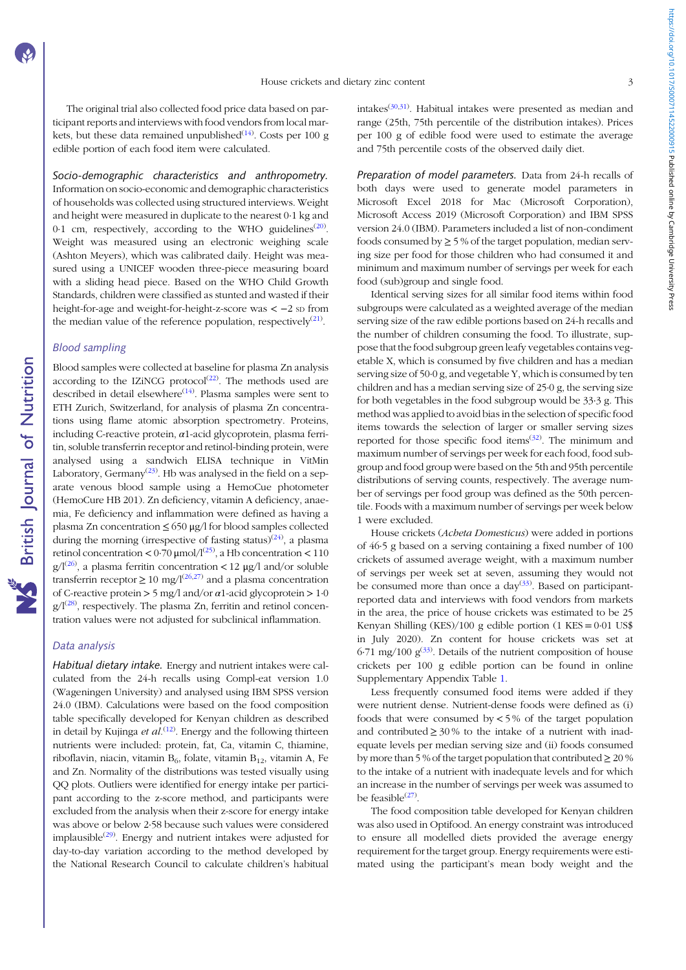**NS** British Journal of Nutrition

The original trial also collected food price data based on participant reports and interviews with food vendors from local markets, but these data remained unpublished $(14)$  $(14)$  $(14)$ . Costs per 100 g edible portion of each food item were calculated.

Socio-demographic characteristics and anthropometry. Information on socio-economic and demographic characteristics of households was collected using structured interviews. Weight and height were measured in duplicate to the nearest 0·1 kg and 0.1 cm, respectively, according to the WHO guidelines<sup>([20\)](#page-11-0)</sup>. Weight was measured using an electronic weighing scale (Ashton Meyers), which was calibrated daily. Height was measured using a UNICEF wooden three-piece measuring board with a sliding head piece. Based on the WHO Child Growth Standards, children were classified as stunted and wasted if their height-for-age and weight-for-height-z-score was < -2 sp from the median value of the reference population, respectively $(21)$  $(21)$ .

### Blood sampling

Blood samples were collected at baseline for plasma Zn analysis according to the IZiNCG protocol $(22)$ . The methods used are described in detail elsewhere<sup>[\(14\)](#page-11-0)</sup>. Plasma samples were sent to ETH Zurich, Switzerland, for analysis of plasma Zn concentrations using flame atomic absorption spectrometry. Proteins, including C-reactive protein,  $\alpha$ 1-acid glycoprotein, plasma ferritin, soluble transferrin receptor and retinol-binding protein, were analysed using a sandwich ELISA technique in VitMin Laboratory, Germany<sup>[\(23\)](#page-11-0)</sup>. Hb was analysed in the field on a separate venous blood sample using a HemoCue photometer (HemoCure HB 201). Zn deficiency, vitamin A deficiency, anaemia, Fe deficiency and inflammation were defined as having a plasma Zn concentration  $\leq 650 \text{ µg/l}$  for blood samples collected during the morning (irrespective of fasting status)<sup>([24\)](#page-11-0)</sup>, a plasma retinol concentration  $< 0.70 \,\mathrm{\mu mol}/\mathrm{I}^{(25)}$  $< 0.70 \,\mathrm{\mu mol}/\mathrm{I}^{(25)}$  $< 0.70 \,\mathrm{\mu mol}/\mathrm{I}^{(25)}$ , a Hb concentration  $< 110$  $g/1^{(26)}$  $g/1^{(26)}$  $g/1^{(26)}$ , a plasma ferritin concentration < 12  $\mu$ g/l and/or soluble transferrin receptor  $\geq 10 \text{ mg}/(26.27)$  and a plasma concentration of C-reactive protein  $> 5$  mg/l and/or  $\alpha$ 1-acid glycoprotein  $> 1.0$  $g/1^{(28)}$  $g/1^{(28)}$  $g/1^{(28)}$ , respectively. The plasma Zn, ferritin and retinol concentration values were not adjusted for subclinical inflammation.

### Data analysis

Habitual dietary intake. Energy and nutrient intakes were calculated from the 24-h recalls using Compl-eat version 1.0 (Wageningen University) and analysed using IBM SPSS version 24.0 (IBM). Calculations were based on the food composition table specifically developed for Kenyan children as described in detail by Kujinga et  $al$ .<sup>([12](#page-11-0))</sup>. Energy and the following thirteen nutrients were included: protein, fat, Ca, vitamin C, thiamine, riboflavin, niacin, vitamin  $B_6$ , folate, vitamin  $B_{12}$ , vitamin A, Fe and Zn. Normality of the distributions was tested visually using QQ plots. Outliers were identified for energy intake per participant according to the z-score method, and participants were excluded from the analysis when their z-score for energy intake was above or below 2·58 because such values were considered implausible<sup>([29\)](#page-11-0)</sup>. Energy and nutrient intakes were adjusted for day-to-day variation according to the method developed by the National Research Council to calculate children's habitual

intakes<sup>[\(30](#page-11-0),[31](#page-11-0))</sup>. Habitual intakes were presented as median and range (25th, 75th percentile of the distribution intakes). Prices per 100 g of edible food were used to estimate the average and 75th percentile costs of the observed daily diet.

Preparation of model parameters. Data from 24-h recalls of both days were used to generate model parameters in Microsoft Excel 2018 for Mac (Microsoft Corporation), Microsoft Access 2019 (Microsoft Corporation) and IBM SPSS version 24.0 (IBM). Parameters included a list of non-condiment foods consumed by  $\geq$  5 % of the target population, median serving size per food for those children who had consumed it and minimum and maximum number of servings per week for each food (sub)group and single food.

Identical serving sizes for all similar food items within food subgroups were calculated as a weighted average of the median serving size of the raw edible portions based on 24-h recalls and the number of children consuming the food. To illustrate, suppose that the food subgroup green leafy vegetables contains vegetable X, which is consumed by five children and has a median serving size of 50·0 g, and vegetable Y, which is consumed by ten children and has a median serving size of 25·0 g, the serving size for both vegetables in the food subgroup would be 33·3 g. This method was applied to avoid bias in the selection of specific food items towards the selection of larger or smaller serving sizes reported for those specific food items<sup>([32\)](#page-11-0)</sup>. The minimum and maximum number of servings per week for each food, food subgroup and food group were based on the 5th and 95th percentile distributions of serving counts, respectively. The average number of servings per food group was defined as the 50th percentile. Foods with a maximum number of servings per week below 1 were excluded.

House crickets (Acheta Domesticus) were added in portions of 46·5 g based on a serving containing a fixed number of 100 crickets of assumed average weight, with a maximum number of servings per week set at seven, assuming they would not be consumed more than once a day $(33)$  $(33)$ . Based on participantreported data and interviews with food vendors from markets in the area, the price of house crickets was estimated to be 25 Kenyan Shilling (KES)/100 g edible portion  $(1$  KES = 0.01 US\$ in July 2020). Zn content for house crickets was set at  $6.71 \text{ mg}/100 \text{ g}^{(33)}$  $6.71 \text{ mg}/100 \text{ g}^{(33)}$  $6.71 \text{ mg}/100 \text{ g}^{(33)}$ . Details of the nutrient composition of house crickets per 100 g edible portion can be found in online Supplementary Appendix Table [1](https://doi.org/10.1017/S0007114522000915).

Less frequently consumed food items were added if they were nutrient dense. Nutrient-dense foods were defined as (i) foods that were consumed by  $< 5\%$  of the target population and contributed  $\geq 30\%$  to the intake of a nutrient with inadequate levels per median serving size and (ii) foods consumed by more than 5 % of the target population that contributed  $\geq 20$  % to the intake of a nutrient with inadequate levels and for which an increase in the number of servings per week was assumed to be feasible $(27)$ .

The food composition table developed for Kenyan children was also used in Optifood. An energy constraint was introduced to ensure all modelled diets provided the average energy requirement for the target group. Energy requirements were estimated using the participant's mean body weight and the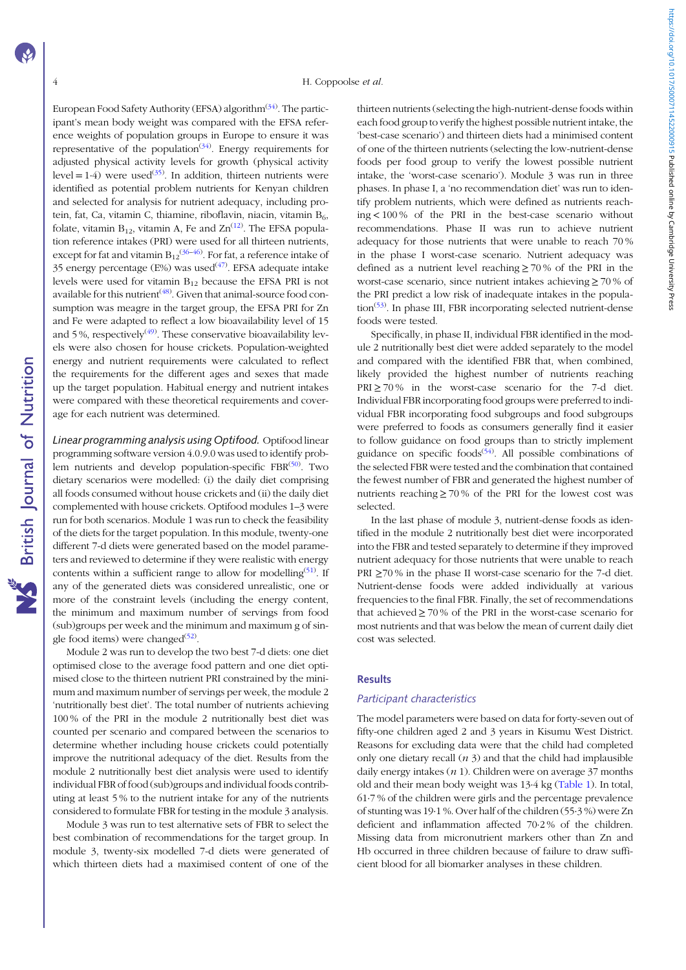https://doi.org/10.1017/50007114522000915 Published online by Cambridge University Press https://doi.org/10.1017/S0007114522000915 Published online by Cambridge University Press

European Food Safety Authority (EFSA) algorithm<sup>[\(34\)](#page-11-0)</sup>. The participant's mean body weight was compared with the EFSA reference weights of population groups in Europe to ensure it was representative of the population<sup> $(34)$  $(34)$  $(34)$ </sup>. Energy requirements for adjusted physical activity levels for growth (physical activity level =  $1.4$ ) were used<sup>[\(35](#page-11-0))</sup>. In addition, thirteen nutrients were identified as potential problem nutrients for Kenyan children and selected for analysis for nutrient adequacy, including protein, fat, Ca, vitamin C, thiamine, riboflavin, niacin, vitamin  $B_6$ , folate, vitamin  $B_{12}$ , vitamin A, Fe and  $Zn^{(12)}$  $Zn^{(12)}$  $Zn^{(12)}$ . The EFSA population reference intakes (PRI) were used for all thirteen nutrients, except for fat and vitamin  $B_{12}^{(36-46)}$  $B_{12}^{(36-46)}$  $B_{12}^{(36-46)}$  $B_{12}^{(36-46)}$  $B_{12}^{(36-46)}$ . For fat, a reference intake of 35 energy percentage (E%) was used $(47)$  $(47)$  $(47)$ . EFSA adequate intake levels were used for vitamin  $B_{12}$  because the EFSA PRI is not available for this nutrient<sup>[\(48\)](#page-12-0)</sup>. Given that animal-source food consumption was meagre in the target group, the EFSA PRI for Zn and Fe were adapted to reflect a low bioavailability level of 15 and 5%, respectively $(49)$  $(49)$ . These conservative bioavailability levels were also chosen for house crickets. Population-weighted energy and nutrient requirements were calculated to reflect the requirements for the different ages and sexes that made up the target population. Habitual energy and nutrient intakes were compared with these theoretical requirements and coverage for each nutrient was determined.

Linear programming analysis using Optifood. Optifood linear programming software version 4.0.9.0 was used to identify prob-lem nutrients and develop population-specific FBR<sup>([50\)](#page-12-0)</sup>. Two dietary scenarios were modelled: (i) the daily diet comprising all foods consumed without house crickets and (ii) the daily diet complemented with house crickets. Optifood modules 1–3 were run for both scenarios. Module 1 was run to check the feasibility of the diets for the target population. In this module, twenty-one different 7-d diets were generated based on the model parameters and reviewed to determine if they were realistic with energy contents within a sufficient range to allow for modelling<sup> $(51)$  $(51)$  $(51)$ </sup>. If any of the generated diets was considered unrealistic, one or more of the constraint levels (including the energy content, the minimum and maximum number of servings from food (sub)groups per week and the minimum and maximum g of sin-gle food items) were changed<sup>[\(52](#page-12-0))</sup>.

Module 2 was run to develop the two best 7-d diets: one diet optimised close to the average food pattern and one diet optimised close to the thirteen nutrient PRI constrained by the minimum and maximum number of servings per week, the module 2 'nutritionally best diet'. The total number of nutrients achieving 100 % of the PRI in the module 2 nutritionally best diet was counted per scenario and compared between the scenarios to determine whether including house crickets could potentially improve the nutritional adequacy of the diet. Results from the module 2 nutritionally best diet analysis were used to identify individual FBR of food (sub)groups and individual foods contributing at least 5 % to the nutrient intake for any of the nutrients considered to formulate FBR for testing in the module 3 analysis.

Module 3 was run to test alternative sets of FBR to select the best combination of recommendations for the target group. In module 3, twenty-six modelled 7-d diets were generated of which thirteen diets had a maximised content of one of the thirteen nutrients (selecting the high-nutrient-dense foods within each food group to verify the highest possible nutrient intake, the 'best-case scenario') and thirteen diets had a minimised content of one of the thirteen nutrients (selecting the low-nutrient-dense foods per food group to verify the lowest possible nutrient intake, the 'worst-case scenario'). Module 3 was run in three phases. In phase I, a 'no recommendation diet' was run to identify problem nutrients, which were defined as nutrients reaching < 100 % of the PRI in the best-case scenario without recommendations. Phase II was run to achieve nutrient adequacy for those nutrients that were unable to reach 70 % in the phase I worst-case scenario. Nutrient adequacy was defined as a nutrient level reaching  $\geq$  70 % of the PRI in the worst-case scenario, since nutrient intakes achieving  $\geq$  70 % of the PRI predict a low risk of inadequate intakes in the popula-tion<sup>([53](#page-12-0))</sup>. In phase III, FBR incorporating selected nutrient-dense foods were tested.

Specifically, in phase II, individual FBR identified in the module 2 nutritionally best diet were added separately to the model and compared with the identified FBR that, when combined, likely provided the highest number of nutrients reaching PRI > 70 % in the worst-case scenario for the 7-d diet. Individual FBR incorporating food groups were preferred to individual FBR incorporating food subgroups and food subgroups were preferred to foods as consumers generally find it easier to follow guidance on food groups than to strictly implement guidance on specific foods<sup> $(54)$ </sup>. All possible combinations of the selected FBR were tested and the combination that contained the fewest number of FBR and generated the highest number of nutrients reaching  $\geq$  70% of the PRI for the lowest cost was selected.

In the last phase of module 3, nutrient-dense foods as identified in the module 2 nutritionally best diet were incorporated into the FBR and tested separately to determine if they improved nutrient adequacy for those nutrients that were unable to reach PRI ≥70 % in the phase II worst-case scenario for the 7-d diet. Nutrient-dense foods were added individually at various frequencies to the final FBR. Finally, the set of recommendations that achieved  $\geq 70\%$  of the PRI in the worst-case scenario for most nutrients and that was below the mean of current daily diet cost was selected.

### Results

### Participant characteristics

The model parameters were based on data for forty-seven out of fifty-one children aged 2 and 3 years in Kisumu West District. Reasons for excluding data were that the child had completed only one dietary recall  $(n 3)$  and that the child had implausible daily energy intakes  $(n 1)$ . Children were on average 37 months old and their mean body weight was 13·4 kg ([Table 1\)](#page-4-0). In total, 61·7 % of the children were girls and the percentage prevalence of stunting was 19·1 %. Over half of the children (55·3 %) were Zn deficient and inflammation affected 70·2 % of the children. Missing data from micronutrient markers other than Zn and Hb occurred in three children because of failure to draw sufficient blood for all biomarker analyses in these children.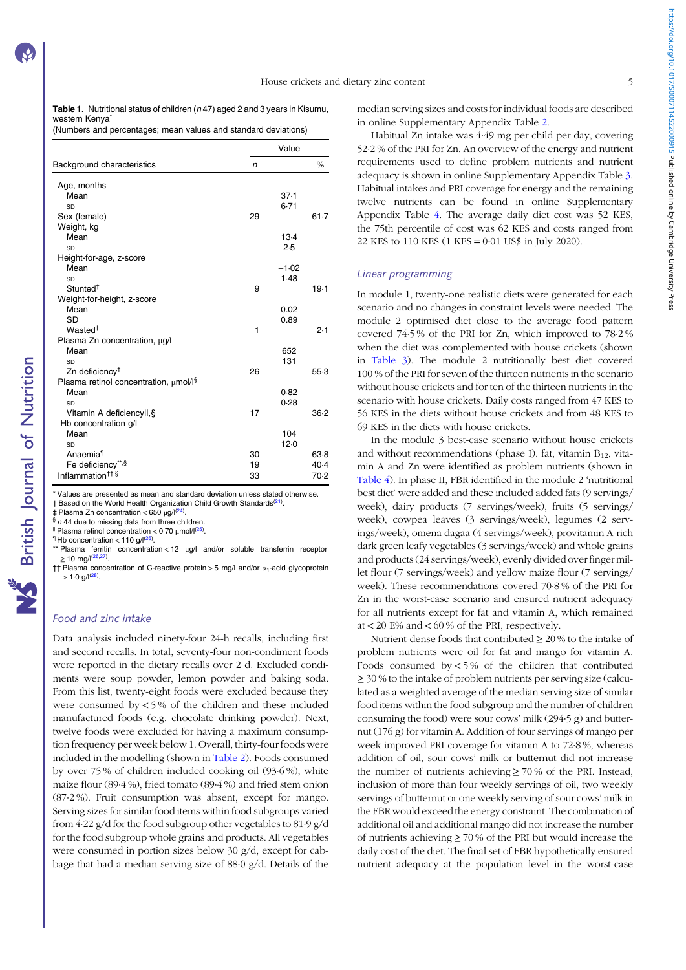<span id="page-4-0"></span>Table 1. Nutritional status of children  $(n 47)$  aged 2 and 3 years in Kisumu, western Kenya\*

(Numbers and percentages; mean values and standard deviations)

|                                                   |    | Value   |        |  |  |  |  |  |
|---------------------------------------------------|----|---------|--------|--|--|--|--|--|
| Background characteristics                        | n  |         | $\%$   |  |  |  |  |  |
| Age, months                                       |    |         |        |  |  |  |  |  |
| Mean                                              |    | 37.1    |        |  |  |  |  |  |
| SD                                                |    | 6.71    |        |  |  |  |  |  |
| Sex (female)                                      | 29 |         | 61.7   |  |  |  |  |  |
| Weight, kg                                        |    |         |        |  |  |  |  |  |
| Mean                                              |    | $13-4$  |        |  |  |  |  |  |
| SD                                                |    | 2.5     |        |  |  |  |  |  |
| Height-for-age, z-score                           |    |         |        |  |  |  |  |  |
| Mean                                              |    | $-1.02$ |        |  |  |  |  |  |
| SD                                                |    | 1.48    |        |  |  |  |  |  |
| Stunted <sup>†</sup>                              | 9  |         | 19.1   |  |  |  |  |  |
| Weight-for-height, z-score                        |    |         |        |  |  |  |  |  |
| Mean                                              |    | 0.02    |        |  |  |  |  |  |
| <b>SD</b>                                         |    | 0.89    |        |  |  |  |  |  |
| Wasted <sup>†</sup>                               | 1  |         | 2.1    |  |  |  |  |  |
| Plasma Zn concentration, µg/l                     |    |         |        |  |  |  |  |  |
| Mean                                              |    | 652     |        |  |  |  |  |  |
| SD                                                |    | 131     |        |  |  |  |  |  |
| Zn deficiency <sup>#</sup>                        | 26 |         | $55-3$ |  |  |  |  |  |
| Plasma retinol concentration, µmol/l <sup>§</sup> |    |         |        |  |  |  |  |  |
| Mean                                              |    | 0.82    |        |  |  |  |  |  |
| SD                                                |    | 0.28    |        |  |  |  |  |  |
| Vitamin A deficiencyll, §                         | 17 |         | 36.2   |  |  |  |  |  |
| Hb concentration g/l                              |    |         |        |  |  |  |  |  |
| Mean                                              |    | 104     |        |  |  |  |  |  |
| SD                                                |    | 12.0    |        |  |  |  |  |  |
| Anaemia <sup>1</sup>                              | 30 |         | 63.8   |  |  |  |  |  |
| Fe deficiency**,§                                 | 19 |         | 40.4   |  |  |  |  |  |
| Inflammation <sup>††,§</sup>                      | 33 |         | 70.2   |  |  |  |  |  |

\* Values are presented as mean and standard deviation unless stated otherwise. † Based on the World Health Organization Child Growth Standards<sup>([21\)](#page-11-0)</sup>.

‡ Plasma Zn concentration < 650 μg/l<sup>([24\)](#page-11-0)</sup>.<br><sup>§</sup> n 44 due to missing data from three children.

<sup>II</sup> Plasma retinol concentration <  $0.70 \mu$ mol/l<sup>([25\)](#page-11-0)</sup>. .

 $\P$  Hb concentration < 110 g/ $1^{(26)}$  $1^{(26)}$  $1^{(26)}$ 

\*\* Plasma ferritin concentration < 12 μg/l and/or soluble transferrin receptor  $\geq 10 \text{ mg}/(26.27)$ .

†† Plasma concentration of C-reactive protein > 5 mg/l and/or  $\alpha_1$ -acid glycoprotein  $> 1.0$  g/l<sup>[\(28](#page-11-0))</sup> .

### Food and zinc intake

Data analysis included ninety-four 24-h recalls, including first and second recalls. In total, seventy-four non-condiment foods were reported in the dietary recalls over 2 d. Excluded condiments were soup powder, lemon powder and baking soda. From this list, twenty-eight foods were excluded because they were consumed by  $< 5\%$  of the children and these included manufactured foods (e.g. chocolate drinking powder). Next, twelve foods were excluded for having a maximum consumption frequency per week below 1. Overall, thirty-four foods were included in the modelling (shown in [Table 2\)](#page-5-0). Foods consumed by over 75 % of children included cooking oil (93·6 %), white maize flour (89·4 %), fried tomato (89·4 %) and fried stem onion (87·2 %). Fruit consumption was absent, except for mango. Serving sizes for similar food items within food subgroups varied from 4·22 g/d for the food subgroup other vegetables to 81·9 g/d for the food subgroup whole grains and products. All vegetables were consumed in portion sizes below 30 g/d, except for cabbage that had a median serving size of 88·0 g/d. Details of the median serving sizes and costs for individual foods are described in online Supplementary Appendix Table [2.](https://doi.org/10.1017/S0007114522000915)

Habitual Zn intake was 4·49 mg per child per day, covering 52·2 % of the PRI for Zn. An overview of the energy and nutrient requirements used to define problem nutrients and nutrient adequacy is shown in online Supplementary Appendix Table [3](https://doi.org/10.1017/S0007114522000915). Habitual intakes and PRI coverage for energy and the remaining twelve nutrients can be found in online Supplementary Appendix Table [4](https://doi.org/10.1017/S0007114522000915). The average daily diet cost was 52 KES, the 75th percentile of cost was 62 KES and costs ranged from 22 KES to 110 KES (1 KES = 0·01 US\$ in July 2020).

### Linear programming

In module 1, twenty-one realistic diets were generated for each scenario and no changes in constraint levels were needed. The module 2 optimised diet close to the average food pattern covered 74·5 % of the PRI for Zn, which improved to 78·2 % when the diet was complemented with house crickets (shown in [Table 3](#page-6-0)). The module 2 nutritionally best diet covered 100 % of the PRI for seven of the thirteen nutrients in the scenario without house crickets and for ten of the thirteen nutrients in the scenario with house crickets. Daily costs ranged from 47 KES to 56 KES in the diets without house crickets and from 48 KES to 69 KES in the diets with house crickets.

In the module 3 best-case scenario without house crickets and without recommendations (phase I), fat, vitamin  $B_{12}$ , vitamin A and Zn were identified as problem nutrients (shown in [Table 4](#page-7-0)). In phase II, FBR identified in the module 2 'nutritional best diet' were added and these included added fats (9 servings/ week), dairy products (7 servings/week), fruits (5 servings/ week), cowpea leaves (3 servings/week), legumes (2 servings/week), omena dagaa (4 servings/week), provitamin A-rich dark green leafy vegetables (3 servings/week) and whole grains and products (24 servings/week), evenly divided over finger millet flour (7 servings/week) and yellow maize flour (7 servings/ week). These recommendations covered 70·8 % of the PRI for Zn in the worst-case scenario and ensured nutrient adequacy for all nutrients except for fat and vitamin A, which remained at  $<$  20 E% and  $<$  60 % of the PRI, respectively.

Nutrient-dense foods that contributed  $\geq 20\%$  to the intake of problem nutrients were oil for fat and mango for vitamin A. Foods consumed by  $< 5\%$  of the children that contributed  $\geq$  30 % to the intake of problem nutrients per serving size (calculated as a weighted average of the median serving size of similar food items within the food subgroup and the number of children consuming the food) were sour cows' milk (294·5 g) and butternut (176 g) for vitamin A. Addition of four servings of mango per week improved PRI coverage for vitamin A to 72·8 %, whereas addition of oil, sour cows' milk or butternut did not increase the number of nutrients achieving  $\geq$  70% of the PRI. Instead, inclusion of more than four weekly servings of oil, two weekly servings of butternut or one weekly serving of sour cows' milk in the FBR would exceed the energy constraint. The combination of additional oil and additional mango did not increase the number of nutrients achieving ≥ 70 % of the PRI but would increase the daily cost of the diet. The final set of FBR hypothetically ensured nutrient adequacy at the population level in the worst-case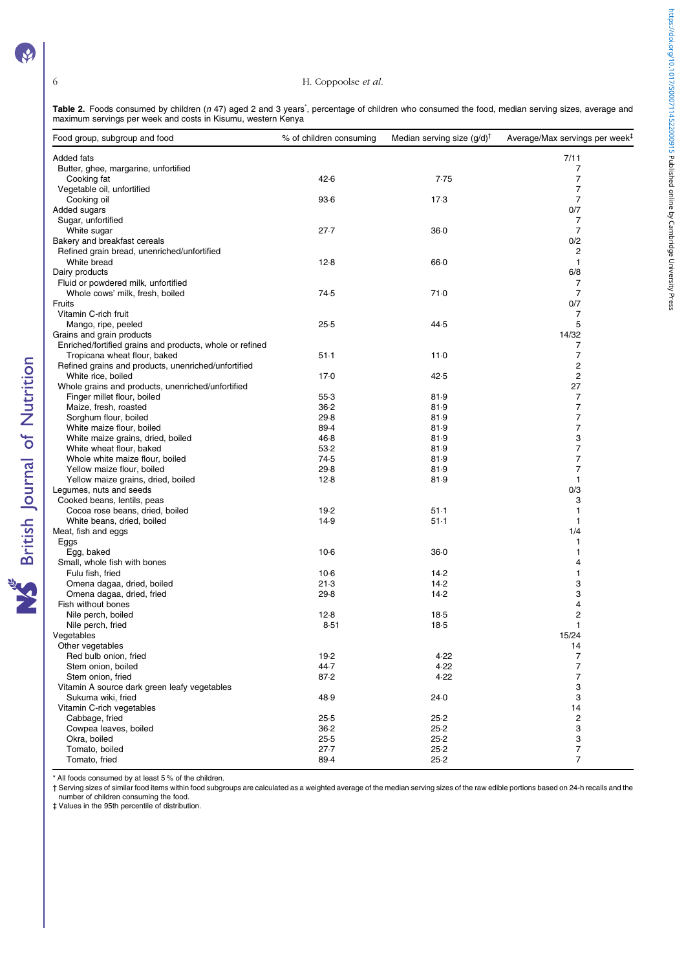### <span id="page-5-0"></span>6 H. Coppoolse et al.

Table 2. Foods consumed by children (n 47) aged 2 and 3 years<sup>\*</sup>, percentage of children who consumed the food, median serving sizes, average and<br>maximum servings per week and costs in Kisumu, western Kenya maximum servings per week and costs in Kisumu, western Kenya

| Food group, subgroup and food                            | % of children consuming | Median serving size $(g/d)^{\dagger}$ | Average/Max servings per week <sup>1</sup> |
|----------------------------------------------------------|-------------------------|---------------------------------------|--------------------------------------------|
| Added fats                                               |                         |                                       | 7/11                                       |
| Butter, ghee, margarine, unfortified                     |                         |                                       | 7                                          |
| Cooking fat                                              | 42.6                    | 7.75                                  | 7                                          |
| Vegetable oil, unfortified                               |                         |                                       | $\overline{7}$                             |
| Cooking oil                                              | $93-6$                  | 17.3                                  | 7                                          |
| Added sugars                                             |                         |                                       | 0/7                                        |
| Sugar, unfortified                                       |                         |                                       | 7                                          |
| White sugar                                              | 27.7                    | $36-0$                                | $\overline{7}$                             |
| Bakery and breakfast cereals                             |                         |                                       | 0/2                                        |
| Refined grain bread, unenriched/unfortified              |                         |                                       | 2                                          |
| White bread                                              | 12.8                    | 66.0                                  | $\mathbf{1}$                               |
| Dairy products                                           |                         |                                       | 6/8                                        |
| Fluid or powdered milk, unfortified                      |                         |                                       | 7                                          |
| Whole cows' milk, fresh, boiled                          | 74.5                    | 71.0                                  | $\overline{7}$                             |
| Fruits                                                   |                         |                                       | 0/7                                        |
| Vitamin C-rich fruit                                     |                         |                                       | 7                                          |
| Mango, ripe, peeled                                      | $25-5$                  | 44.5                                  | 5                                          |
| Grains and grain products                                |                         |                                       | 14/32                                      |
| Enriched/fortified grains and products, whole or refined |                         |                                       | 7                                          |
| Tropicana wheat flour, baked                             | $51-1$                  | 11.0                                  | $\overline{7}$                             |
| Refined grains and products, unenriched/unfortified      |                         |                                       | 2                                          |
| White rice, boiled                                       | 17.0                    | 42.5                                  | $\overline{2}$                             |
| Whole grains and products, unenriched/unfortified        |                         |                                       | 27                                         |
| Finger millet flour, boiled                              | $55-3$                  | 81.9                                  | 7                                          |
| Maize, fresh, roasted                                    | $36 - 2$                | 81.9                                  | 7                                          |
| Sorghum flour, boiled                                    | 29.8                    | 81.9                                  | $\overline{7}$                             |
| White maize flour, boiled                                | 89.4                    | 81.9                                  | 7                                          |
| White maize grains, dried, boiled                        | 46.8                    | 81.9                                  | 3                                          |
| White wheat flour, baked                                 | $53-2$                  | 81.9                                  | 7                                          |
| Whole white maize flour, boiled                          | 74.5                    | 81.9                                  | $\overline{7}$                             |
| Yellow maize flour, boiled                               | 29.8                    | 81.9                                  | 7                                          |
| Yellow maize grains, dried, boiled                       | 12.8                    | 81.9                                  | $\mathbf{1}$                               |
| Legumes, nuts and seeds                                  |                         |                                       | 0/3                                        |
| Cooked beans, lentils, peas                              |                         |                                       | 3                                          |
| Cocoa rose beans, dried, boiled                          | 19.2                    | $51-1$                                | 1                                          |
| White beans, dried, boiled                               | 14.9                    | $51-1$                                | 1                                          |
| Meat, fish and eggs                                      |                         |                                       | 1/4                                        |
| Eggs                                                     |                         |                                       | 1                                          |
| Egg, baked                                               | $10-6$                  | $36-0$                                | 1                                          |
| Small, whole fish with bones                             |                         |                                       | 4                                          |
| Fulu fish, fried                                         | $10-6$                  | 14.2                                  | 1                                          |
| Omena dagaa, dried, boiled                               | 21.3                    | 14.2                                  | 3                                          |
| Omena dagaa, dried, fried                                | 29.8                    | 14.2                                  | 3                                          |
| Fish without bones                                       |                         |                                       | 4                                          |
| Nile perch, boiled                                       | 12.8                    | 18.5                                  | 2                                          |
| Nile perch, fried                                        | 8.51                    | $18-5$                                | 1                                          |
| Vegetables                                               |                         |                                       | 15/24                                      |
| Other vegetables                                         |                         |                                       | 14                                         |
| Red bulb onion, fried                                    | 19.2                    | 4.22                                  | 7                                          |
| Stem onion, boiled                                       | 44.7                    | 4.22                                  | $\overline{7}$                             |
| Stem onion, fried                                        | 87.2                    | 4.22                                  | $\overline{7}$                             |
| Vitamin A source dark green leafy vegetables             |                         |                                       | 3                                          |
| Sukuma wiki, fried                                       | 48.9                    | 24.0                                  | 3                                          |
| Vitamin C-rich vegetables                                |                         |                                       | 14                                         |
| Cabbage, fried                                           | $25-5$                  | $25-2$                                | 2                                          |
| Cowpea leaves, boiled                                    | $36 - 2$                | 25.2                                  | 3                                          |
| Okra, boiled                                             | $25-5$                  | 25.2                                  | 3                                          |
| Tomato, boiled                                           | 27.7                    | 25.2                                  | $\overline{7}$                             |
| Tomato, fried                                            | 89.4                    | 25.2                                  | 7                                          |

\* All foods consumed by at least 5 % of the children.

† Serving sizes of similar food items within food subgroups are calculated as a weighted average of the median serving sizes of the raw edible portions based on 24-h recalls and the number of children consuming the food. ‡ Values in the 95th percentile of distribution.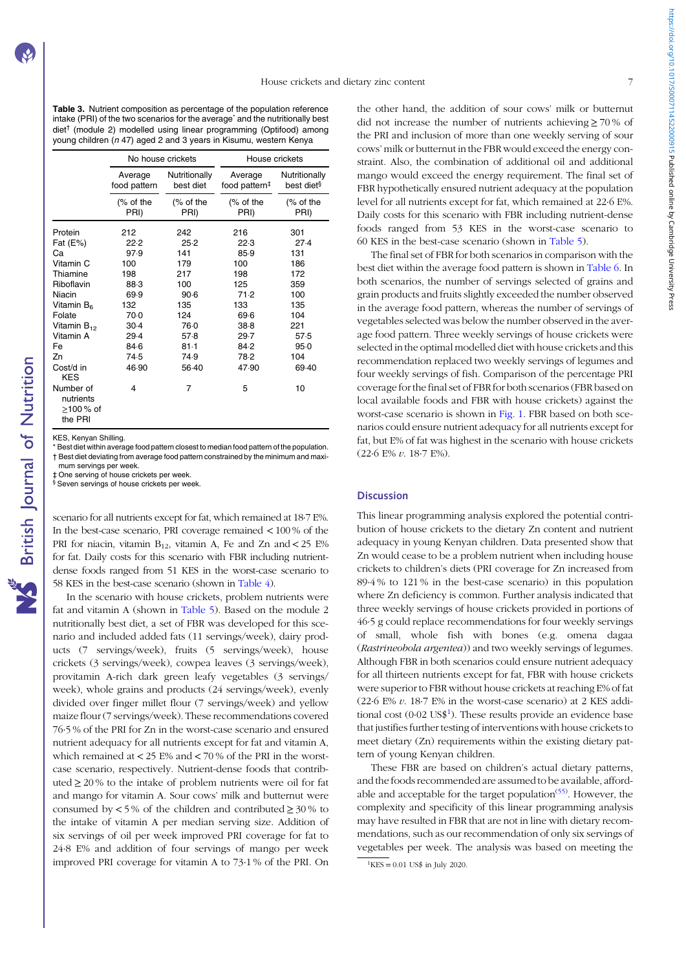<span id="page-6-0"></span>Table 3. Nutrient composition as percentage of the population reference intake (PRI) of the two scenarios for the average<sup>\*</sup> and the nutritionally best diet† (module 2) modelled using linear programming (Optifood) among young children (n 47) aged 2 and 3 years in Kisumu, western Kenya

|                                                |                         | No house crickets          | House crickets                       |                                         |
|------------------------------------------------|-------------------------|----------------------------|--------------------------------------|-----------------------------------------|
|                                                | Average<br>food pattern | Nutritionally<br>best diet | Average<br>food pattern <sup>#</sup> | Nutritionally<br>best diet <sup>§</sup> |
|                                                | (% of the<br>PRI)       | (% of the<br>PRI)          | (% of the<br>PRI)                    | (% of the<br>PRI)                       |
| Protein                                        | 212                     | 242                        | 216                                  | 301                                     |
| Fat (E%)                                       | 22.2                    | 25.2                       | 22.3                                 | 27.4                                    |
| Сa                                             | 97.9                    | 141                        | 85.9                                 | 131                                     |
| Vitamin C                                      | 100                     | 179                        | 100                                  | 186                                     |
| Thiamine                                       | 198                     | 217                        | 198                                  | 172                                     |
| Riboflavin                                     | 88.3                    | 100                        | 125                                  | 359                                     |
| Niacin                                         | 69.9                    | $90-6$                     | 71.2                                 | 100                                     |
| Vitamin B <sub>6</sub>                         | 132                     | 135                        | 133                                  | 135                                     |
| Folate                                         | 70.0                    | 124                        | 69.6                                 | 104                                     |
| Vitamin B <sub>12</sub>                        | $30-4$                  | 76.0                       | $38 - 8$                             | 221                                     |
| Vitamin A                                      | 29.4                    | 57.8                       | 29.7                                 | 57.5                                    |
| Fe                                             | $84-6$                  | $81-1$                     | 84.2                                 | 95.0                                    |
| Zn                                             | 74.5                    | 74.9                       | 78.2                                 | 104                                     |
| Cost/d in<br><b>KES</b>                        | 46.90                   | 56.40                      | 47.90                                | 69.40                                   |
| Number of<br>nutrients<br>≥100 % of<br>the PRI | 4                       | 7                          | 5                                    | 10                                      |

KES, Kenyan Shilling.

\* Best diet within average food pattern closest to median food pattern of the population. † Best diet deviating from average food pattern constrained by the minimum and maximum servings per week.

‡ One serving of house crickets per week.

Seven servings of house crickets per week.

scenario for all nutrients except for fat, which remained at 18·7 E%. In the best-case scenario, PRI coverage remained < 100 % of the PRI for niacin, vitamin  $B_{12}$ , vitamin A, Fe and Zn and < 25 E% for fat. Daily costs for this scenario with FBR including nutrientdense foods ranged from 51 KES in the worst-case scenario to 58 KES in the best-case scenario (shown in [Table 4](#page-7-0)).

In the scenario with house crickets, problem nutrients were fat and vitamin A (shown in [Table 5](#page-8-0)). Based on the module 2 nutritionally best diet, a set of FBR was developed for this scenario and included added fats (11 servings/week), dairy products (7 servings/week), fruits (5 servings/week), house crickets (3 servings/week), cowpea leaves (3 servings/week), provitamin A-rich dark green leafy vegetables (3 servings/ week), whole grains and products (24 servings/week), evenly divided over finger millet flour (7 servings/week) and yellow maize flour (7 servings/week). These recommendations covered 76·5 % of the PRI for Zn in the worst-case scenario and ensured nutrient adequacy for all nutrients except for fat and vitamin A, which remained at  $< 25$  E% and  $< 70$ % of the PRI in the worstcase scenario, respectively. Nutrient-dense foods that contributed  $\geq$  20 % to the intake of problem nutrients were oil for fat and mango for vitamin A. Sour cows' milk and butternut were consumed by  $< 5\%$  of the children and contributed  $\geq 30\%$  to the intake of vitamin A per median serving size. Addition of six servings of oil per week improved PRI coverage for fat to 24·8 E% and addition of four servings of mango per week improved PRI coverage for vitamin A to 73·1 % of the PRI. On the other hand, the addition of sour cows' milk or butternut did not increase the number of nutrients achieving ≥ 70 % of the PRI and inclusion of more than one weekly serving of sour cows' milk or butternut in the FBR would exceed the energy constraint. Also, the combination of additional oil and additional mango would exceed the energy requirement. The final set of FBR hypothetically ensured nutrient adequacy at the population level for all nutrients except for fat, which remained at 22·6 E%. Daily costs for this scenario with FBR including nutrient-dense foods ranged from 53 KES in the worst-case scenario to 60 KES in the best-case scenario (shown in [Table 5](#page-8-0)).

The final set of FBR for both scenarios in comparison with the best diet within the average food pattern is shown in [Table 6](#page-9-0). In both scenarios, the number of servings selected of grains and grain products and fruits slightly exceeded the number observed in the average food pattern, whereas the number of servings of vegetables selected was below the number observed in the average food pattern. Three weekly servings of house crickets were selected in the optimal modelled diet with house crickets and this recommendation replaced two weekly servings of legumes and four weekly servings of fish. Comparison of the percentage PRI coverage for the final set of FBR for both scenarios (FBR based on local available foods and FBR with house crickets) against the worst-case scenario is shown in [Fig. 1](#page-9-0). FBR based on both scenarios could ensure nutrient adequacy for all nutrients except for fat, but E% of fat was highest in the scenario with house crickets (22·6 E% v. 18·7 E%).

### **Discussion**

This linear programming analysis explored the potential contribution of house crickets to the dietary Zn content and nutrient adequacy in young Kenyan children. Data presented show that Zn would cease to be a problem nutrient when including house crickets to children's diets (PRI coverage for Zn increased from 89·4 % to 121 % in the best-case scenario) in this population where Zn deficiency is common. Further analysis indicated that three weekly servings of house crickets provided in portions of 46·5 g could replace recommendations for four weekly servings of small, whole fish with bones (e.g. omena dagaa (Rastrineobola argentea)) and two weekly servings of legumes. Although FBR in both scenarios could ensure nutrient adequacy for all thirteen nutrients except for fat, FBR with house crickets were superior to FBR without house crickets at reaching E% of fat (22.6 E%  $v$ . 18.7 E% in the worst-case scenario) at 2 KES additional cost (0.02 US\$<sup>1</sup>). These results provide an evidence base that justifies further testing of interventions with house crickets to meet dietary (Zn) requirements within the existing dietary pattern of young Kenyan children.

These FBR are based on children's actual dietary patterns, and the foods recommended are assumed to be available, afford-able and acceptable for the target population<sup>[\(55\)](#page-12-0)</sup>. However, the complexity and specificity of this linear programming analysis may have resulted in FBR that are not in line with dietary recommendations, such as our recommendation of only six servings of vegetables per week. The analysis was based on meeting the

 ${}^{1}$ KES = 0.01 US\$ in July 2020.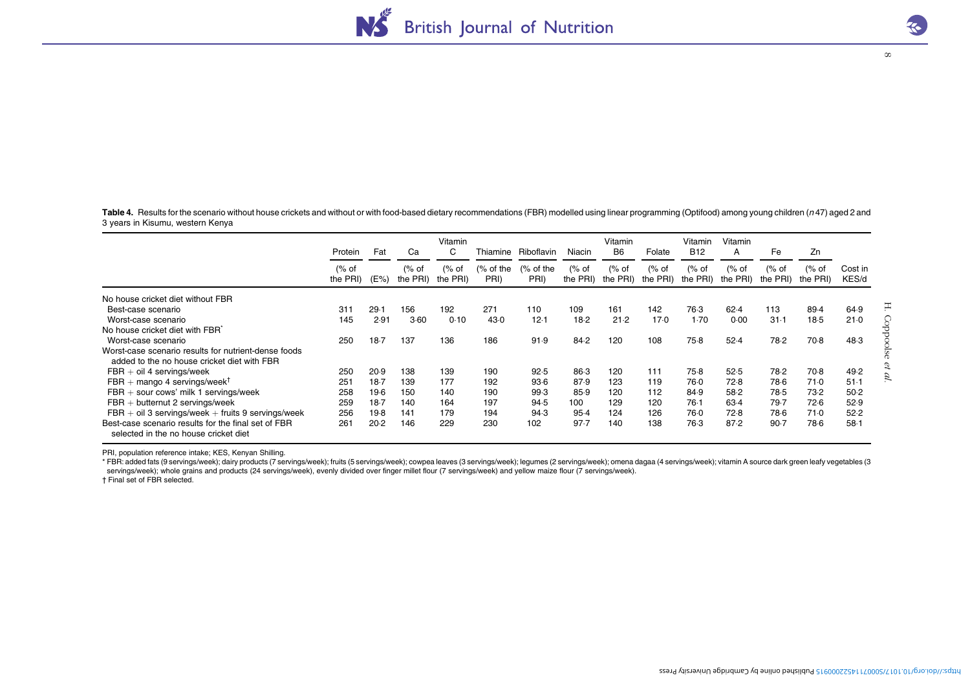**NS** British Journal of Nutrition

 $\infty$ 

<span id="page-7-0"></span>Table 4. Results for the scenario without house crickets and without or with food-based dietary recommendations (FBR) modelled using linear programming (Optifood) among young children (n 47) aged 2 and 3 years in Kisumu, western Kenya

|                                                                                                     | Protein                                 | Fat    | Ca                | Vitamin<br>C.     | Thiamine          | Riboflavin         | Niacin            | Vitamin<br><b>B6</b> | Folate             | Vitamin<br><b>B12</b> | Vitamin<br>А      | Fe                 | Zn                |                  |
|-----------------------------------------------------------------------------------------------------|-----------------------------------------|--------|-------------------|-------------------|-------------------|--------------------|-------------------|----------------------|--------------------|-----------------------|-------------------|--------------------|-------------------|------------------|
|                                                                                                     | $\frac{9}{6}$ of<br>the PRI)<br>$(E\%)$ |        | (% of<br>the PRI) | (% of<br>the PRI) | (% of the<br>PRI) | $%$ of the<br>PRI) | (% of<br>the PRI) | % of<br>the PRI)     | $%$ of<br>the PRI) | (% of<br>the PRI)     | (% of<br>the PRI) | $%$ of<br>the PRI) | (% of<br>the PRI) | Cost in<br>KES/d |
| No house cricket diet without FBR                                                                   |                                         |        |                   |                   |                   |                    |                   |                      |                    |                       |                   |                    |                   |                  |
| Best-case scenario                                                                                  | 311                                     | 29.1   | 156               | 192               | 271               | 110                | 109               | 161                  | 142                | 76.3                  | 62.4              | 113                | 89.4              | 64.9             |
| Worst-case scenario                                                                                 | 145                                     | 2.91   | 3.60              | 0.10              | 43.0              | 12.1               | 18.2              | 21.2                 | 17.0               | 1.70                  | 0.00              | 31.1               | $18-5$            | 21.0             |
| No house cricket diet with FBR <sup>*</sup>                                                         |                                         |        |                   |                   |                   |                    |                   |                      |                    |                       |                   |                    |                   |                  |
| Worst-case scenario                                                                                 | 250                                     | $18-7$ | 137               | 136               | 186               | 91.9               | 84.2              | 120                  | 108                | 75.8                  | 52.4              | 78.2               | $70-8$            | 48.3             |
| Worst-case scenario results for nutrient-dense foods<br>added to the no house cricket diet with FBR |                                         |        |                   |                   |                   |                    |                   |                      |                    |                       |                   |                    |                   |                  |
| $FBR + oil 4$ servings/week                                                                         | 250                                     | 20.9   | 138               | 139               | 190               | 92.5               | 86.3              | 120                  | 111                | $75-8$                | 52.5              | 78.2               | 70.8              | 49.2             |
| FBR + mango 4 servings/week <sup>†</sup>                                                            | 251                                     | 18.7   | 139               | 177               | 192               | $93-6$             | 87.9              | 123                  | 119                | 76.0                  | 72.8              | 78.6               | 71.0              | $51-1$           |
| $FBR +$ sour cows' milk 1 servings/week                                                             | 258                                     | 19.6   | 150               | 140               | 190               | 99.3               | 85.9              | 120                  | 112                | 84.9                  | 58.2              | 78.5               | 73.2              | 50.2             |
| $FBR + but$ ternut 2 servings/week                                                                  | 259                                     | 18.7   | 140               | 164               | 197               | 94.5               | 100               | 129                  | 120                | 76.1                  | 63.4              | 79.7               | 72.6              | 52.9             |
| $FBR + oil 3$ servings/week $+$ fruits 9 servings/week                                              | 256                                     | 19.8   | 141               | 179               | 194               | 94.3               | 95.4              | 124                  | 126                | 76.0                  | 72.8              | 78.6               | 71.0              | 52.2             |
| Best-case scenario results for the final set of FBR<br>selected in the no house cricket diet        | 261                                     | 20.2   | 146               | 229               | 230               | 102                | 97.7              | 140                  | 138                | 76.3                  | 87.2              | $90-7$             | 78.6              | $58-1$           |

PRI, population reference intake; KES, Kenyan Shilling.

\* FBR: added fats (9 servings/week); dairy products (7 servings/week); fruits (5 servings/week); cowpea leaves (3 servings/week); legumes (2 servings/week); omena dagaa (4 servings/week); vitamin A source dark green leafy servings/week); whole grains and products (24 servings/week), evenly divided over finger millet flour (7 servings/week) and yellow maize flour (7 servings/week).

† Final set of FBR selected.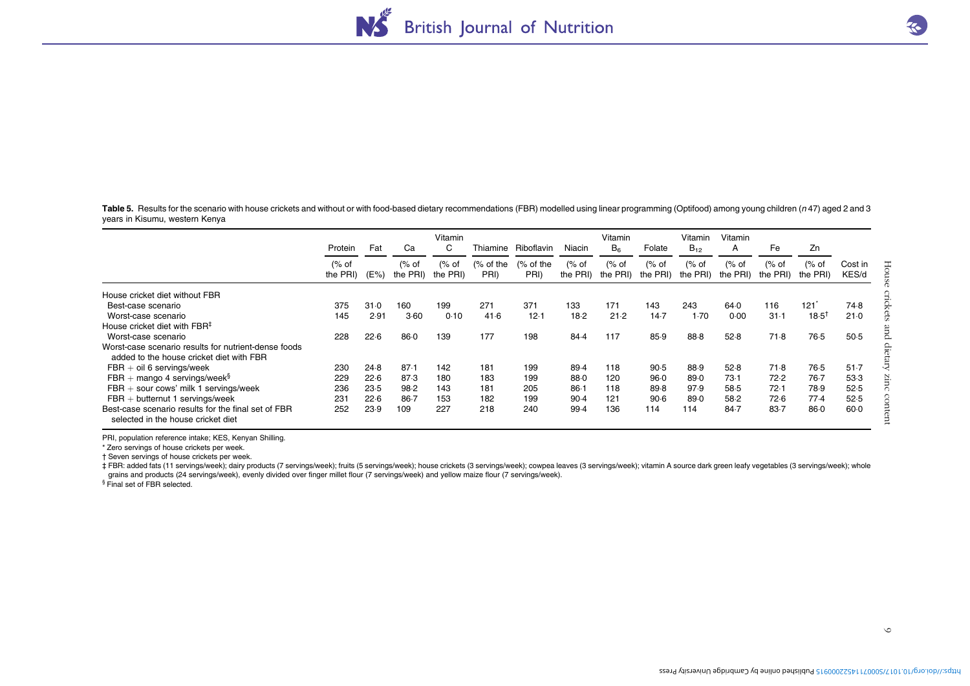British Journal of Nutrition

<span id="page-8-0"></span>Table 5. Results for the scenario with house crickets and without or with food-based dietary recommendations (FBR) modelled using linear programming (Optifood) among young children (n 47) aged 2 and 3 years in Kisumu, western Kenya

|                                                                                                                                                                                                                                                                                                                                                                                                                                                                                                                         |                   | Fat     | Ca                | Vitamin<br>C      |                    | Thiamine Riboflavin | Niacin            | Vitamin<br>$B_6$  | Folate            | Vitamin<br>$B_{12}$ | Vitamin<br>A      | Fe                | Zn                |                  |
|-------------------------------------------------------------------------------------------------------------------------------------------------------------------------------------------------------------------------------------------------------------------------------------------------------------------------------------------------------------------------------------------------------------------------------------------------------------------------------------------------------------------------|-------------------|---------|-------------------|-------------------|--------------------|---------------------|-------------------|-------------------|-------------------|---------------------|-------------------|-------------------|-------------------|------------------|
|                                                                                                                                                                                                                                                                                                                                                                                                                                                                                                                         | (% of<br>the PRI) | $(E\%)$ | (% of<br>the PRI) | (% of<br>the PRI) | $%$ of the<br>PRI) | $%$ of the<br>PRI)  | (% of<br>the PRI) | (% of<br>the PRI) | (% of<br>the PRI) | (% of<br>the PRI)   | (% of<br>the PRI) | (% of<br>the PRI) | (% of<br>the PRI) | Cost in<br>KES/d |
| House cricket diet without FBR                                                                                                                                                                                                                                                                                                                                                                                                                                                                                          |                   |         |                   |                   |                    |                     |                   |                   |                   |                     |                   |                   |                   |                  |
| Best-case scenario                                                                                                                                                                                                                                                                                                                                                                                                                                                                                                      | 375               | 31.0    | 160               | 199               | 271                | 371                 | 133               | 171               | 143               | 243                 | 64.0              | 116               | 121               | 74.8             |
| Worst-case scenario                                                                                                                                                                                                                                                                                                                                                                                                                                                                                                     | 145               | 2.91    | 3.60              | 0.10              | 41.6               | 12.1                | 18.2              | 21.2              | 14.7              | 1.70                | 0.00              | $31 - 1$          | $18.5^{\dagger}$  | 21.0             |
| House cricket diet with FBR <sup>‡</sup>                                                                                                                                                                                                                                                                                                                                                                                                                                                                                |                   |         |                   |                   |                    |                     |                   |                   |                   |                     |                   |                   |                   |                  |
| Worst-case scenario                                                                                                                                                                                                                                                                                                                                                                                                                                                                                                     | 228               | 22.6    | 86.0              | 139               | 177                | 198                 | 84.4              | 117               | 85.9              | 88.8                | 52.8              | 71.8              | 76.5              | 50.5             |
| Worst-case scenario results for nutrient-dense foods<br>added to the house cricket diet with FBR                                                                                                                                                                                                                                                                                                                                                                                                                        |                   |         |                   |                   |                    |                     |                   |                   |                   |                     |                   |                   |                   |                  |
| $FBR + oil 6$ servings/week                                                                                                                                                                                                                                                                                                                                                                                                                                                                                             | 230               | $24-8$  | 87.1              | 142               | 181                | 199                 | 89.4              | 118               | 90.5              | 88.9                | 52.8              | 71.8              | 76.5              | $51-7$           |
| FBR + mango 4 servings/week $\frac{1}{2}$                                                                                                                                                                                                                                                                                                                                                                                                                                                                               | 229               | 22.6    | 87.3              | 180               | 183                | 199                 | 88.0              | 120               | 96.0              | 89.0                | 73.1              | 72.2              | 76.7              | 53-3             |
| $FBR +$ sour cows' milk 1 servings/week                                                                                                                                                                                                                                                                                                                                                                                                                                                                                 | 236               | 23.5    | 98.2              | 143               | 181                | 205                 | $86 - 1$          | 118               | 89.8              | 97.9                | 58.5              | 72.1              | 78.9              | 52.5             |
| $FBR + but$ ternut 1 servings/week                                                                                                                                                                                                                                                                                                                                                                                                                                                                                      | 231               | 22.6    | 86.7              | 153               | 182                | 199                 | 90.4              | 121               | $90-6$            | 89.0                | 58.2              | 72.6              | 77.4              | 52.5             |
| Best-case scenario results for the final set of FBR<br>selected in the house cricket diet                                                                                                                                                                                                                                                                                                                                                                                                                               | 252               | 23.9    | 109               | 227               | 218                | 240                 | 99.4              | 136               | 114               | 114                 | 84.7              | 83.7              | 86.0              | 60.0             |
| * Zero servings of house crickets per week.<br>† Seven servings of house crickets per week.<br>#FBR: added fats (11 servings/week); dairy products (7 servings/week); fruits (5 servings/week); house crickets (3 servings/week); cowpea leaves (3 servings/week); vitamin A source dark green leafy vegetables (3 servings/w<br>grains and products (24 servings/week), evenly divided over finger millet flour (7 servings/week) and yellow maize flour (7 servings/week).<br><sup>§</sup> Final set of FBR selected. |                   |         |                   |                   |                    |                     |                   |                   |                   |                     |                   |                   |                   |                  |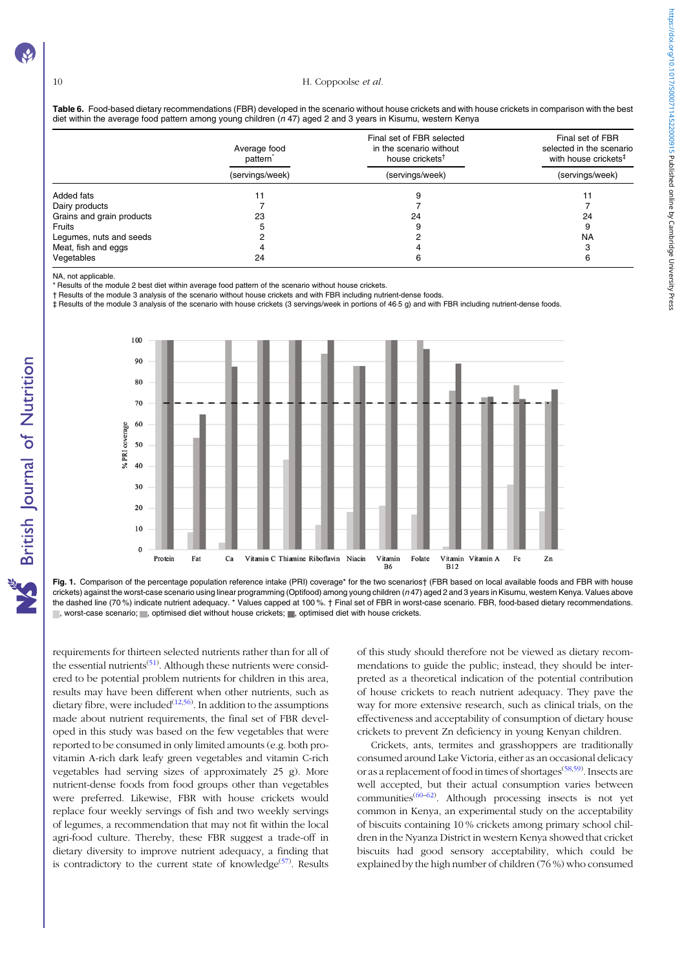### <span id="page-9-0"></span>10 H. Coppoolse et al.

Table 6. Food-based dietary recommendations (FBR) developed in the scenario without house crickets and with house crickets in comparison with the best diet within the average food pattern among young children (n 47) aged 2 and 3 years in Kisumu, western Kenya

|                           | Average food<br>pattern <sup>*</sup> | Final set of FBR selected<br>in the scenario without<br>house crickets <sup>†</sup> | Final set of FBR<br>selected in the scenaric<br>with house crickets <sup>‡</sup> |  |  |  |
|---------------------------|--------------------------------------|-------------------------------------------------------------------------------------|----------------------------------------------------------------------------------|--|--|--|
|                           | (servings/week)                      | (servings/week)                                                                     | (servings/week)                                                                  |  |  |  |
| Added fats                |                                      |                                                                                     |                                                                                  |  |  |  |
| Dairy products            |                                      |                                                                                     |                                                                                  |  |  |  |
| Grains and grain products | 23                                   | 24                                                                                  | 24                                                                               |  |  |  |
| <b>Fruits</b>             |                                      |                                                                                     |                                                                                  |  |  |  |
| Legumes, nuts and seeds   |                                      |                                                                                     | <b>NA</b>                                                                        |  |  |  |
| Meat, fish and eggs       |                                      |                                                                                     |                                                                                  |  |  |  |
| Vegetables                | 24                                   |                                                                                     |                                                                                  |  |  |  |

NA, not applicable.

**NS** British Journal of Nutrition

\* Results of the module 2 best diet within average food pattern of the scenario without house crickets.

† Results of the module 3 analysis of the scenario without house crickets and with FBR including nutrient-dense foods.

‡ Results of the module 3 analysis of the scenario with house crickets (3 servings/week in portions of 46·5 g) and with FBR including nutrient-dense foods.



Fig. 1. Comparison of the percentage population reference intake (PRI) coverage\* for the two scenarios† (FBR based on local available foods and FBR with house crickets) against the worst-case scenario using linear programming (Optifood) among young children (n 47) aged 2 and 3 years in Kisumu, western Kenya. Values above the dashed line (70 %) indicate nutrient adequacy. \* Values capped at 100 %. † Final set of FBR in worst-case scenario. FBR, food-based dietary recommendations. , worst-case scenario; , optimised diet without house crickets; , optimised diet with house crickets.

requirements for thirteen selected nutrients rather than for all of the essential nutrients<sup>[\(51\)](#page-12-0)</sup>. Although these nutrients were considered to be potential problem nutrients for children in this area, results may have been different when other nutrients, such as dietary fibre, were included $(12,56)$  $(12,56)$ . In addition to the assumptions made about nutrient requirements, the final set of FBR developed in this study was based on the few vegetables that were reported to be consumed in only limited amounts (e.g. both provitamin A-rich dark leafy green vegetables and vitamin C-rich vegetables had serving sizes of approximately 25 g). More nutrient-dense foods from food groups other than vegetables were preferred. Likewise, FBR with house crickets would replace four weekly servings of fish and two weekly servings of legumes, a recommendation that may not fit within the local agri-food culture. Thereby, these FBR suggest a trade-off in dietary diversity to improve nutrient adequacy, a finding that is contradictory to the current state of knowledge<sup>[\(57\)](#page-12-0)</sup>. Results

of this study should therefore not be viewed as dietary recommendations to guide the public; instead, they should be interpreted as a theoretical indication of the potential contribution of house crickets to reach nutrient adequacy. They pave the way for more extensive research, such as clinical trials, on the effectiveness and acceptability of consumption of dietary house crickets to prevent Zn deficiency in young Kenyan children.

Crickets, ants, termites and grasshoppers are traditionally consumed around Lake Victoria, either as an occasional delicacy or as a replacement of food in times of shortages<sup>([58](#page-12-0),[59](#page-12-0))</sup>. Insects are well accepted, but their actual consumption varies between communities([60](#page-12-0)–[62\)](#page-12-0) . Although processing insects is not yet common in Kenya, an experimental study on the acceptability of biscuits containing 10 % crickets among primary school children in the Nyanza District in western Kenya showed that cricket biscuits had good sensory acceptability, which could be explained by the high number of children (76 %) who consumed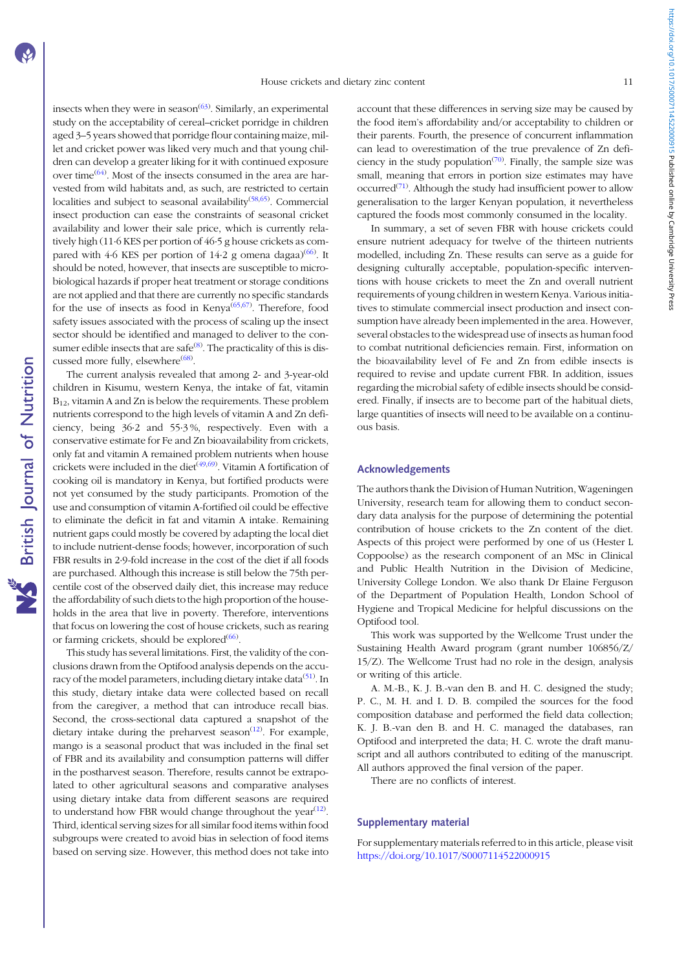insects when they were in season<sup>[\(63](#page-12-0))</sup>. Similarly, an experimental study on the acceptability of cereal–cricket porridge in children aged 3–5 years showed that porridge flour containing maize, millet and cricket power was liked very much and that young children can develop a greater liking for it with continued exposure over time<sup>[\(64](#page-12-0))</sup>. Most of the insects consumed in the area are harvested from wild habitats and, as such, are restricted to certain localities and subject to seasonal availability<sup>([58](#page-12-0),[65](#page-12-0))</sup>. Commercial insect production can ease the constraints of seasonal cricket availability and lower their sale price, which is currently relatively high (11·6 KES per portion of 46·5 g house crickets as compared with 4.6 KES per portion of  $14.2$  g omena dagaa)<sup>([66](#page-12-0))</sup>. It should be noted, however, that insects are susceptible to microbiological hazards if proper heat treatment or storage conditions are not applied and that there are currently no specific standards for the use of insects as food in Kenya<sup> $(65,67)$ </sup>. Therefore, food safety issues associated with the process of scaling up the insect sector should be identified and managed to deliver to the con-sumer edible insects that are safe<sup>[\(8\)](#page-11-0)</sup>. The practicality of this is dis-cussed more fully, elsewhere<sup>[\(68](#page-12-0))</sup>.

The current analysis revealed that among 2- and 3-year-old children in Kisumu, western Kenya, the intake of fat, vitamin  $B_{12}$ , vitamin A and Zn is below the requirements. These problem nutrients correspond to the high levels of vitamin A and Zn deficiency, being 36·2 and 55·3 %, respectively. Even with a conservative estimate for Fe and Zn bioavailability from crickets, only fat and vitamin A remained problem nutrients when house crickets were included in the diet<sup>[\(49,69\)](#page-12-0)</sup>. Vitamin A fortification of cooking oil is mandatory in Kenya, but fortified products were not yet consumed by the study participants. Promotion of the use and consumption of vitamin A-fortified oil could be effective to eliminate the deficit in fat and vitamin A intake. Remaining nutrient gaps could mostly be covered by adapting the local diet to include nutrient-dense foods; however, incorporation of such FBR results in 2·9-fold increase in the cost of the diet if all foods are purchased. Although this increase is still below the 75th percentile cost of the observed daily diet, this increase may reduce the affordability of such diets to the high proportion of the households in the area that live in poverty. Therefore, interventions that focus on lowering the cost of house crickets, such as rearing or farming crickets, should be explored<sup>[\(66\)](#page-12-0)</sup>.

This study has several limitations. First, the validity of the conclusions drawn from the Optifood analysis depends on the accu-racy of the model parameters, including dietary intake data<sup>[\(51](#page-12-0))</sup>. In this study, dietary intake data were collected based on recall from the caregiver, a method that can introduce recall bias. Second, the cross-sectional data captured a snapshot of the dietary intake during the preharvest season $(12)$ . For example, mango is a seasonal product that was included in the final set of FBR and its availability and consumption patterns will differ in the postharvest season. Therefore, results cannot be extrapolated to other agricultural seasons and comparative analyses using dietary intake data from different seasons are required to understand how FBR would change throughout the year $(12)$  $(12)$ . Third, identical serving sizes for all similar food items within food subgroups were created to avoid bias in selection of food items based on serving size. However, this method does not take into account that these differences in serving size may be caused by the food item's affordability and/or acceptability to children or their parents. Fourth, the presence of concurrent inflammation can lead to overestimation of the true prevalence of Zn deficiency in the study population<sup> $(70)$  $(70)$ </sup>. Finally, the sample size was small, meaning that errors in portion size estimates may have occurred<sup>([71](#page-12-0))</sup>. Although the study had insufficient power to allow generalisation to the larger Kenyan population, it nevertheless captured the foods most commonly consumed in the locality.

In summary, a set of seven FBR with house crickets could ensure nutrient adequacy for twelve of the thirteen nutrients modelled, including Zn. These results can serve as a guide for designing culturally acceptable, population-specific interventions with house crickets to meet the Zn and overall nutrient requirements of young children in western Kenya. Various initiatives to stimulate commercial insect production and insect consumption have already been implemented in the area. However, several obstacles to the widespread use of insects as human food to combat nutritional deficiencies remain. First, information on the bioavailability level of Fe and Zn from edible insects is required to revise and update current FBR. In addition, issues regarding the microbial safety of edible insects should be considered. Finally, if insects are to become part of the habitual diets, large quantities of insects will need to be available on a continuous basis.

### Acknowledgements

The authors thank the Division of Human Nutrition, Wageningen University, research team for allowing them to conduct secondary data analysis for the purpose of determining the potential contribution of house crickets to the Zn content of the diet. Aspects of this project were performed by one of us (Hester L Coppoolse) as the research component of an MSc in Clinical and Public Health Nutrition in the Division of Medicine, University College London. We also thank Dr Elaine Ferguson of the Department of Population Health, London School of Hygiene and Tropical Medicine for helpful discussions on the Optifood tool.

This work was supported by the Wellcome Trust under the Sustaining Health Award program (grant number 106856/Z/ 15/Z). The Wellcome Trust had no role in the design, analysis or writing of this article.

A. M.-B., K. J. B.-van den B. and H. C. designed the study; P. C., M. H. and I. D. B. compiled the sources for the food composition database and performed the field data collection; K. J. B.-van den B. and H. C. managed the databases, ran Optifood and interpreted the data; H. C. wrote the draft manuscript and all authors contributed to editing of the manuscript. All authors approved the final version of the paper.

There are no conflicts of interest.

### Supplementary material

For supplementary materials referred to in this article, please visit <https://doi.org/10.1017/S0007114522000915>

https://doi.org/10.1017/50007114522000915 Published online by Cambridge University Press https://doi.org/10.1017/S0007114522000915 Published online by Cambridge University Press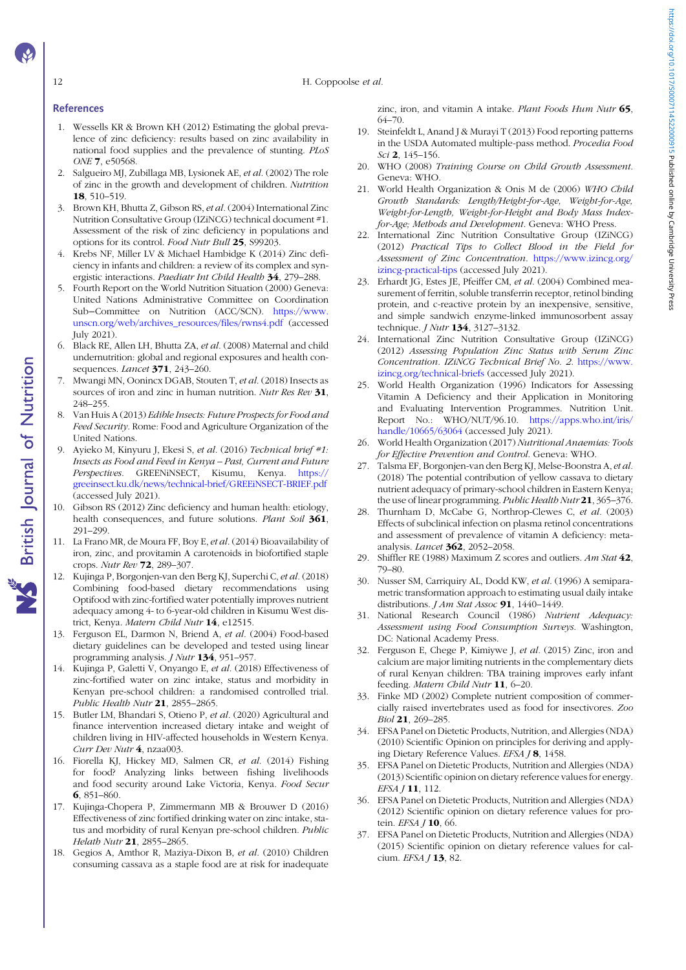### <span id="page-11-0"></span>12 H. Coppoolse et al.

### References

- 1. Wessells KR & Brown KH (2012) Estimating the global prevalence of zinc deficiency: results based on zinc availability in national food supplies and the prevalence of stunting. PLoS ONE 7, e50568.
- 2. Salgueiro MJ, Zubillaga MB, Lysionek AE, et al. (2002) The role of zinc in the growth and development of children. Nutrition 18, 510–519.
- 3. Brown KH, Bhutta Z, Gibson RS, et al. (2004) International Zinc Nutrition Consultative Group (IZiNCG) technical document #1. Assessment of the risk of zinc deficiency in populations and options for its control. Food Nutr Bull 25, S99203.
- 4. Krebs NF, Miller LV & Michael Hambidge K (2014) Zinc deficiency in infants and children: a review of its complex and synergistic interactions. Paediatr Int Child Health 34, 279-288.
- 5. Fourth Report on the World Nutrition Situation (2000) Geneva: United Nations Administrative Committee on Coordination Sub−Committee on Nutrition (ACC/SCN). [https://www.](https://www.unscn.org/web/archives_resources/files/rwns4.pdf) [unscn.org/web/archives\\_resources/files/rwns4.pdf](https://www.unscn.org/web/archives_resources/files/rwns4.pdf) (accessed July 2021).
- 6. Black RE, Allen LH, Bhutta ZA, et al. (2008) Maternal and child undernutrition: global and regional exposures and health consequences. *Lancet* **371**, 243-260.
- 7. Mwangi MN, Oonincx DGAB, Stouten T, et al. (2018) Insects as sources of iron and zinc in human nutrition. Nutr Res Rev 31, 248–255.
- 8. Van Huis A (2013) Edible Insects: Future Prospects for Food and Feed Security. Rome: Food and Agriculture Organization of the United Nations.
- 9. Avieko M, Kinyuru J, Ekesi S, et al. (2016) Technical brief #1: Insects as Food and Feed in Kenya – Past, Current and Future Perspectives. GREENiNSECT, Kisumu, Kenya. [https://](https://greeinsect.ku.dk/news/technical-brief/GREEiNSECT-BRIEF.pdf) [greeinsect.ku.dk/news/technical-brief/GREEiNSECT-BRIEF.pdf](https://greeinsect.ku.dk/news/technical-brief/GREEiNSECT-BRIEF.pdf) (accessed July 2021).
- 10. Gibson RS (2012) Zinc deficiency and human health: etiology, health consequences, and future solutions. Plant Soil 361, 291–299.
- 11. La Frano MR, de Moura FF, Boy E, et al. (2014) Bioavailability of iron, zinc, and provitamin A carotenoids in biofortified staple crops. Nutr Rev 72, 289–307.
- 12. Kujinga P, Borgonjen-van den Berg KJ, Superchi C, et al. (2018) Combining food-based dietary recommendations using Optifood with zinc-fortified water potentially improves nutrient adequacy among 4- to 6-year-old children in Kisumu West district, Kenya. Matern Child Nutr 14, e12515.
- 13. Ferguson EL, Darmon N, Briend A, et al. (2004) Food-based dietary guidelines can be developed and tested using linear programming analysis. J Nutr 134, 951–957.
- 14. Kujinga P, Galetti V, Onyango E, et al. (2018) Effectiveness of zinc-fortified water on zinc intake, status and morbidity in Kenyan pre-school children: a randomised controlled trial. Public Health Nutr 21, 2855-2865.
- 15. Butler LM, Bhandari S, Otieno P, et al. (2020) Agricultural and finance intervention increased dietary intake and weight of children living in HIV-affected households in Western Kenya. Curr Dev Nutr 4, nzaa003.
- 16. Fiorella KJ, Hickey MD, Salmen CR, et al. (2014) Fishing for food? Analyzing links between fishing livelihoods and food security around Lake Victoria, Kenya. Food Secur 6, 851–860.
- 17. Kujinga-Chopera P, Zimmermann MB & Brouwer D (2016) Effectiveness of zinc fortified drinking water on zinc intake, status and morbidity of rural Kenyan pre-school children. Public Helath Nutr 21, 2855–2865.
- 18. Gegios A, Amthor R, Maziya-Dixon B, et al. (2010) Children consuming cassava as a staple food are at risk for inadequate

zinc, iron, and vitamin A intake. Plant Foods Hum Nutr 65, 64–70.

- 19. Steinfeldt L, Anand J & Murayi T (2013) Food reporting patterns in the USDA Automated multiple-pass method. Procedia Food Sci 2, 145-156.
- 20. WHO (2008) Training Course on Child Growth Assessment. Geneva: WHO.
- 21. World Health Organization & Onis M de (2006) WHO Child Growth Standards: Length/Height-for-Age, Weight-for-Age, Weight-for-Length, Weight-for-Height and Body Mass Indexfor-Age; Methods and Development. Geneva: WHO Press.
- 22. International Zinc Nutrition Consultative Group (IZiNCG) (2012) Practical Tips to Collect Blood in the Field for Assessment of Zinc Concentration. [https://www.izincg.org/](https://www.izincg.org/izincg-practical-tips) [izincg-practical-tips](https://www.izincg.org/izincg-practical-tips) (accessed July 2021).
- 23. Erhardt JG, Estes JE, Pfeiffer CM, et al. (2004) Combined measurement of ferritin, soluble transferrin receptor, retinol binding protein, and c-reactive protein by an inexpensive, sensitive, and simple sandwich enzyme-linked immunosorbent assay technique. *J Nutr* **134**, 3127-3132.
- 24. International Zinc Nutrition Consultative Group (IZiNCG) (2012) Assessing Population Zinc Status with Serum Zinc Concentration. IZiNCG Technical Brief No. 2. [https://www.](https://www.izincg.org/technical-briefs) [izincg.org/technical-briefs](https://www.izincg.org/technical-briefs) (accessed July 2021).
- 25. World Health Organization (1996) Indicators for Assessing Vitamin A Deficiency and their Application in Monitoring and Evaluating Intervention Programmes. Nutrition Unit. Report No.: WHO/NUT/96.10. [https://apps.who.int/iris/](https://apps.who.int/iris/handle/10665/63064) [handle/10665/63064](https://apps.who.int/iris/handle/10665/63064) (accessed July 2021).
- 26. World Health Organization (2017) Nutritional Anaemias: Tools for Effective Prevention and Control. Geneva: WHO.
- 27. Talsma EF, Borgonjen-van den Berg KJ, Melse-Boonstra A, et al. (2018) The potential contribution of yellow cassava to dietary nutrient adequacy of primary-school children in Eastern Kenya; the use of linear programming. Public Health Nutr 21, 365-376.
- 28. Thurnham D, McCabe G, Northrop-Clewes C, et al. (2003) Effects of subclinical infection on plasma retinol concentrations and assessment of prevalence of vitamin A deficiency: metaanalysis. Lancet 362, 2052–2058.
- 29. Shiffler RE (1988) Maximum Z scores and outliers. Am Stat 42, 79–80.
- 30. Nusser SM, Carriquiry AL, Dodd KW, et al. (1996) A semiparametric transformation approach to estimating usual daily intake distributions. *J Am Stat Assoc* 91, 1440-1449.
- 31. National Research Council (1986) Nutrient Adequacy: Assessment using Food Consumption Surveys. Washington, DC: National Academy Press.
- 32. Ferguson E, Chege P, Kimiywe J, et al. (2015) Zinc, iron and calcium are major limiting nutrients in the complementary diets of rural Kenyan children: TBA training improves early infant feeding. Matern Child Nutr 11, 6-20.
- 33. Finke MD (2002) Complete nutrient composition of commercially raised invertebrates used as food for insectivores. Zoo Biol 21, 269–285.
- 34. EFSA Panel on Dietetic Products, Nutrition, and Allergies (NDA) (2010) Scientific Opinion on principles for deriving and applying Dietary Reference Values. EFSA J 8, 1458.
- 35. EFSA Panel on Dietetic Products, Nutrition and Allergies (NDA) (2013) Scientific opinion on dietary reference values for energy. EFSA [ 11, 112.
- 36. EFSA Panel on Dietetic Products, Nutrition and Allergies (NDA) (2012) Scientific opinion on dietary reference values for protein.  $EFSA J$  10, 66.
- 37. EFSA Panel on Dietetic Products, Nutrition and Allergies (NDA) (2015) Scientific opinion on dietary reference values for calcium.  $EFSA J$  13, 82.

# British Journal of Nutrition